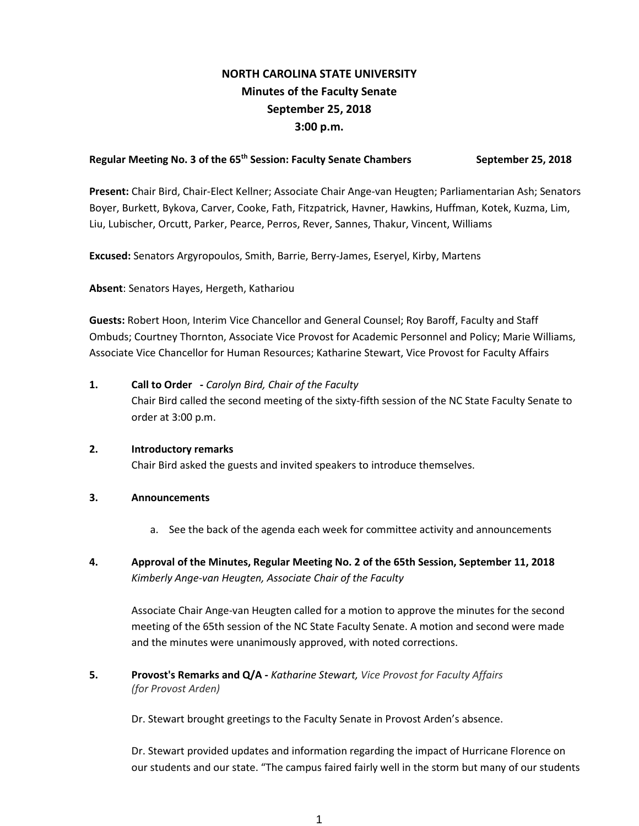# **NORTH CAROLINA STATE UNIVERSITY Minutes of the Faculty Senate September 25, 2018 3:00 p.m.**

## Regular Meeting No. 3 of the 65<sup>th</sup> Session: Faculty Senate Chambers September 25, 2018

**Present:** Chair Bird, Chair-Elect Kellner; Associate Chair Ange-van Heugten; Parliamentarian Ash; Senators Boyer, Burkett, Bykova, Carver, Cooke, Fath, Fitzpatrick, Havner, Hawkins, Huffman, Kotek, Kuzma, Lim, Liu, Lubischer, Orcutt, Parker, Pearce, Perros, Rever, Sannes, Thakur, Vincent, Williams

**Excused:** Senators Argyropoulos, Smith, Barrie, Berry-James, Eseryel, Kirby, Martens

**Absent**: Senators Hayes, Hergeth, Kathariou

**Guests:** Robert Hoon, Interim Vice Chancellor and General Counsel; Roy Baroff, Faculty and Staff Ombuds; Courtney Thornton, Associate Vice Provost for Academic Personnel and Policy; Marie Williams, Associate Vice Chancellor for Human Resources; Katharine Stewart, Vice Provost for Faculty Affairs

# **1. Call to Order -** *Carolyn Bird, Chair of the Faculty* Chair Bird called the second meeting of the sixty-fifth session of the NC State Faculty Senate to order at 3:00 p.m.

### **2. Introductory remarks**

Chair Bird asked the guests and invited speakers to introduce themselves.

### **3. Announcements**

- a. See the back of the agenda each week for committee activity and announcements
- **4. Approval of the Minutes, Regular Meeting No. 2 of the 65th Session, September 11, 2018** *Kimberly Ange-van Heugten, Associate Chair of the Faculty*

Associate Chair Ange-van Heugten called for a motion to approve the minutes for the second meeting of the 65th session of the NC State Faculty Senate. A motion and second were made and the minutes were unanimously approved, with noted corrections.

**5. Provost's Remarks and Q/A -** *Katharine Stewart, Vice Provost for Faculty Affairs (for Provost Arden)*

Dr. Stewart brought greetings to the Faculty Senate in Provost Arden's absence.

Dr. Stewart provided updates and information regarding the impact of Hurricane Florence on our students and our state. "The campus faired fairly well in the storm but many of our students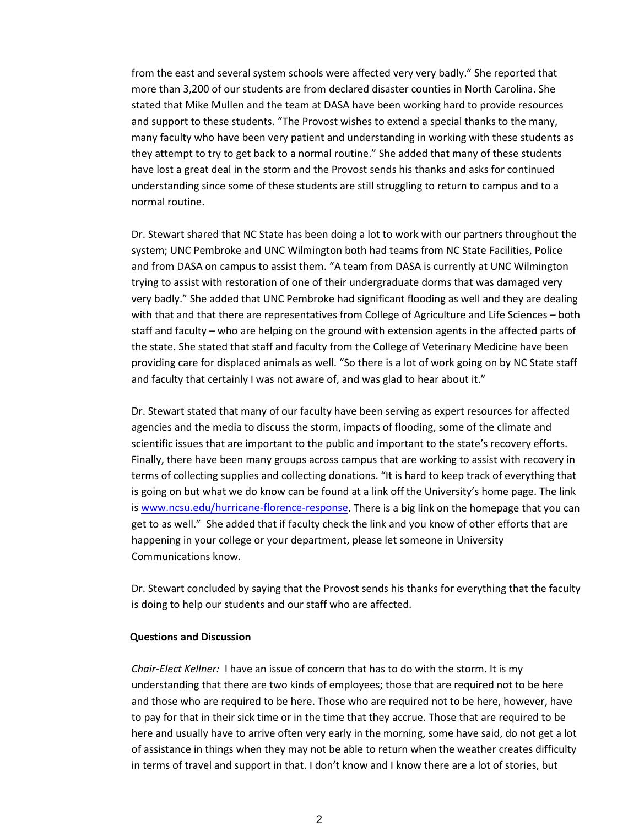from the east and several system schools were affected very very badly." She reported that more than 3,200 of our students are from declared disaster counties in North Carolina. She stated that Mike Mullen and the team at DASA have been working hard to provide resources and support to these students. "The Provost wishes to extend a special thanks to the many, many faculty who have been very patient and understanding in working with these students as they attempt to try to get back to a normal routine." She added that many of these students have lost a great deal in the storm and the Provost sends his thanks and asks for continued understanding since some of these students are still struggling to return to campus and to a normal routine.

Dr. Stewart shared that NC State has been doing a lot to work with our partners throughout the system; UNC Pembroke and UNC Wilmington both had teams from NC State Facilities, Police and from DASA on campus to assist them. "A team from DASA is currently at UNC Wilmington trying to assist with restoration of one of their undergraduate dorms that was damaged very very badly." She added that UNC Pembroke had significant flooding as well and they are dealing with that and that there are representatives from College of Agriculture and Life Sciences – both staff and faculty – who are helping on the ground with extension agents in the affected parts of the state. She stated that staff and faculty from the College of Veterinary Medicine have been providing care for displaced animals as well. "So there is a lot of work going on by NC State staff and faculty that certainly I was not aware of, and was glad to hear about it."

Dr. Stewart stated that many of our faculty have been serving as expert resources for affected agencies and the media to discuss the storm, impacts of flooding, some of the climate and scientific issues that are important to the public and important to the state's recovery efforts. Finally, there have been many groups across campus that are working to assist with recovery in terms of collecting supplies and collecting donations. "It is hard to keep track of everything that is going on but what we do know can be found at a link off the University's home page. The link is [www.ncsu.edu/hurricane-florence-response.](http://www.ncsu.edu/hurricane-florence-response) There is a big link on the homepage that you can get to as well." She added that if faculty check the link and you know of other efforts that are happening in your college or your department, please let someone in University Communications know.

Dr. Stewart concluded by saying that the Provost sends his thanks for everything that the faculty is doing to help our students and our staff who are affected.

#### **Questions and Discussion**

*Chair-Elect Kellner:* I have an issue of concern that has to do with the storm. It is my understanding that there are two kinds of employees; those that are required not to be here and those who are required to be here. Those who are required not to be here, however, have to pay for that in their sick time or in the time that they accrue. Those that are required to be here and usually have to arrive often very early in the morning, some have said, do not get a lot of assistance in things when they may not be able to return when the weather creates difficulty in terms of travel and support in that. I don't know and I know there are a lot of stories, but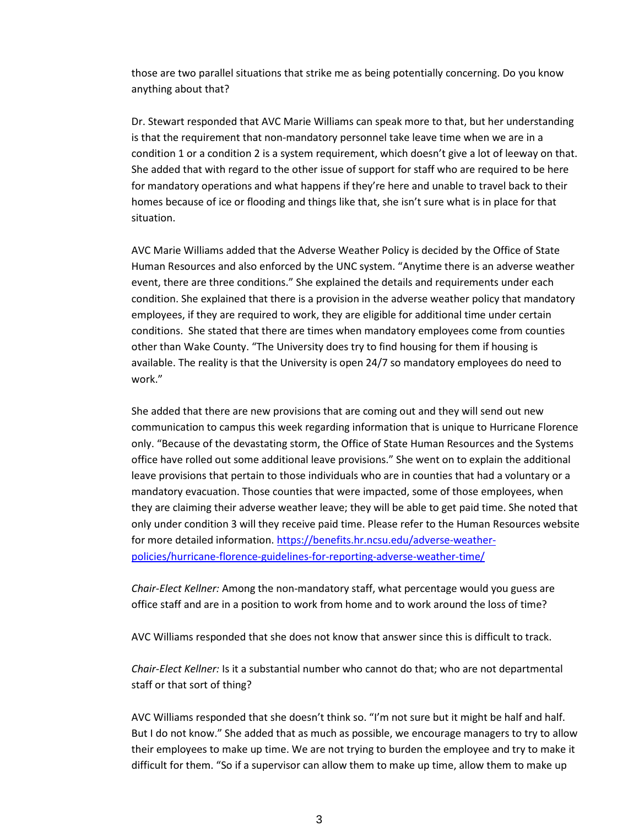those are two parallel situations that strike me as being potentially concerning. Do you know anything about that?

Dr. Stewart responded that AVC Marie Williams can speak more to that, but her understanding is that the requirement that non-mandatory personnel take leave time when we are in a condition 1 or a condition 2 is a system requirement, which doesn't give a lot of leeway on that. She added that with regard to the other issue of support for staff who are required to be here for mandatory operations and what happens if they're here and unable to travel back to their homes because of ice or flooding and things like that, she isn't sure what is in place for that situation.

AVC Marie Williams added that the Adverse Weather Policy is decided by the Office of State Human Resources and also enforced by the UNC system. "Anytime there is an adverse weather event, there are three conditions." She explained the details and requirements under each condition. She explained that there is a provision in the adverse weather policy that mandatory employees, if they are required to work, they are eligible for additional time under certain conditions. She stated that there are times when mandatory employees come from counties other than Wake County. "The University does try to find housing for them if housing is available. The reality is that the University is open 24/7 so mandatory employees do need to work."

She added that there are new provisions that are coming out and they will send out new communication to campus this week regarding information that is unique to Hurricane Florence only. "Because of the devastating storm, the Office of State Human Resources and the Systems office have rolled out some additional leave provisions." She went on to explain the additional leave provisions that pertain to those individuals who are in counties that had a voluntary or a mandatory evacuation. Those counties that were impacted, some of those employees, when they are claiming their adverse weather leave; they will be able to get paid time. She noted that only under condition 3 will they receive paid time. Please refer to the Human Resources website for more detailed information. [https://benefits.hr.ncsu.edu/adverse-weather](https://benefits.hr.ncsu.edu/adverse-weather-policies/hurricane-florence-guidelines-for-reporting-adverse-weather-time/)[policies/hurricane-florence-guidelines-for-reporting-adverse-weather-time/](https://benefits.hr.ncsu.edu/adverse-weather-policies/hurricane-florence-guidelines-for-reporting-adverse-weather-time/)

*Chair-Elect Kellner:* Among the non-mandatory staff, what percentage would you guess are office staff and are in a position to work from home and to work around the loss of time?

AVC Williams responded that she does not know that answer since this is difficult to track.

*Chair-Elect Kellner:* Is it a substantial number who cannot do that; who are not departmental staff or that sort of thing?

AVC Williams responded that she doesn't think so. "I'm not sure but it might be half and half. But I do not know." She added that as much as possible, we encourage managers to try to allow their employees to make up time. We are not trying to burden the employee and try to make it difficult for them. "So if a supervisor can allow them to make up time, allow them to make up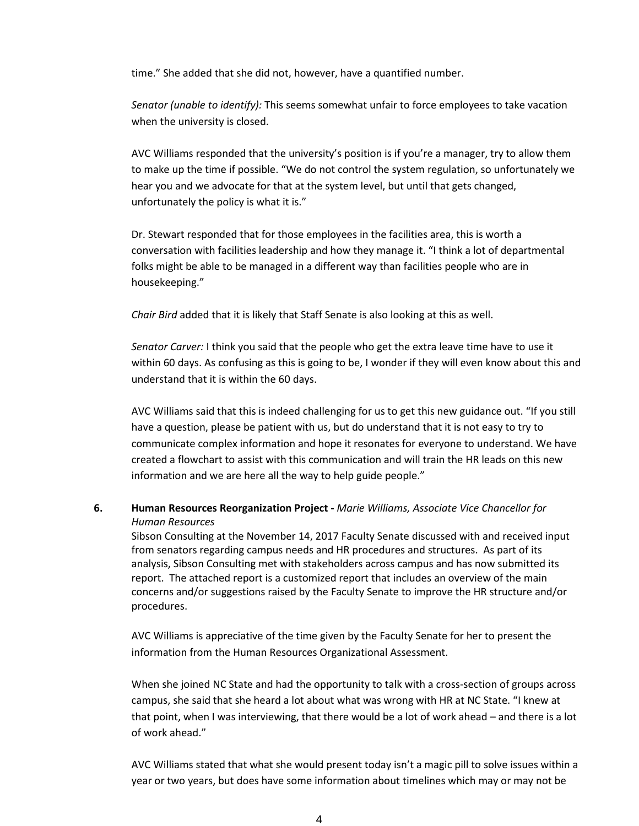time." She added that she did not, however, have a quantified number.

*Senator (unable to identify):* This seems somewhat unfair to force employees to take vacation when the university is closed.

AVC Williams responded that the university's position is if you're a manager, try to allow them to make up the time if possible. "We do not control the system regulation, so unfortunately we hear you and we advocate for that at the system level, but until that gets changed, unfortunately the policy is what it is."

Dr. Stewart responded that for those employees in the facilities area, this is worth a conversation with facilities leadership and how they manage it. "I think a lot of departmental folks might be able to be managed in a different way than facilities people who are in housekeeping."

*Chair Bird* added that it is likely that Staff Senate is also looking at this as well.

*Senator Carver:* I think you said that the people who get the extra leave time have to use it within 60 days. As confusing as this is going to be, I wonder if they will even know about this and understand that it is within the 60 days.

AVC Williams said that this is indeed challenging for us to get this new guidance out. "If you still have a question, please be patient with us, but do understand that it is not easy to try to communicate complex information and hope it resonates for everyone to understand. We have created a flowchart to assist with this communication and will train the HR leads on this new information and we are here all the way to help guide people."

# **6. Human Resources Reorganization Project -** *Marie Williams, Associate Vice Chancellor for Human Resources*

Sibson Consulting at the November 14, 2017 Faculty Senate discussed with and received input from senators regarding campus needs and HR procedures and structures. As part of its analysis, Sibson Consulting met with stakeholders across campus and has now submitted its report. The attached report is a customized report that includes an overview of the main concerns and/or suggestions raised by the Faculty Senate to improve the HR structure and/or procedures.

AVC Williams is appreciative of the time given by the Faculty Senate for her to present the information from the Human Resources Organizational Assessment.

When she joined NC State and had the opportunity to talk with a cross-section of groups across campus, she said that she heard a lot about what was wrong with HR at NC State. "I knew at that point, when I was interviewing, that there would be a lot of work ahead – and there is a lot of work ahead."

AVC Williams stated that what she would present today isn't a magic pill to solve issues within a year or two years, but does have some information about timelines which may or may not be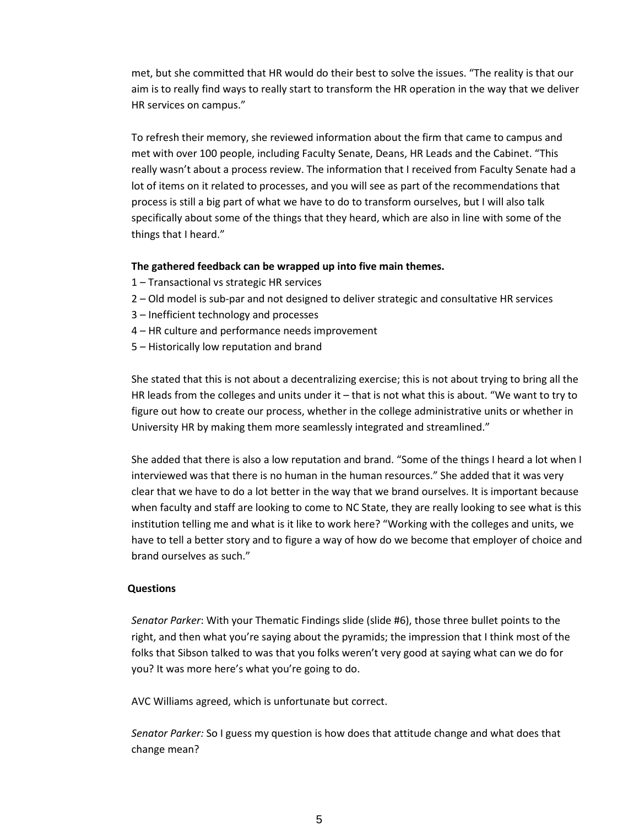met, but she committed that HR would do their best to solve the issues. "The reality is that our aim is to really find ways to really start to transform the HR operation in the way that we deliver HR services on campus."

To refresh their memory, she reviewed information about the firm that came to campus and met with over 100 people, including Faculty Senate, Deans, HR Leads and the Cabinet. "This really wasn't about a process review. The information that I received from Faculty Senate had a lot of items on it related to processes, and you will see as part of the recommendations that process is still a big part of what we have to do to transform ourselves, but I will also talk specifically about some of the things that they heard, which are also in line with some of the things that I heard."

### **The gathered feedback can be wrapped up into five main themes.**

- 1 Transactional vs strategic HR services
- 2 Old model is sub-par and not designed to deliver strategic and consultative HR services
- 3 Inefficient technology and processes
- 4 HR culture and performance needs improvement
- 5 Historically low reputation and brand

She stated that this is not about a decentralizing exercise; this is not about trying to bring all the HR leads from the colleges and units under it – that is not what this is about. "We want to try to figure out how to create our process, whether in the college administrative units or whether in University HR by making them more seamlessly integrated and streamlined."

She added that there is also a low reputation and brand. "Some of the things I heard a lot when I interviewed was that there is no human in the human resources." She added that it was very clear that we have to do a lot better in the way that we brand ourselves. It is important because when faculty and staff are looking to come to NC State, they are really looking to see what is this institution telling me and what is it like to work here? "Working with the colleges and units, we have to tell a better story and to figure a way of how do we become that employer of choice and brand ourselves as such."

#### **Questions**

*Senator Parker*: With your Thematic Findings slide (slide #6), those three bullet points to the right, and then what you're saying about the pyramids; the impression that I think most of the folks that Sibson talked to was that you folks weren't very good at saying what can we do for you? It was more here's what you're going to do.

AVC Williams agreed, which is unfortunate but correct.

*Senator Parker:* So I guess my question is how does that attitude change and what does that change mean?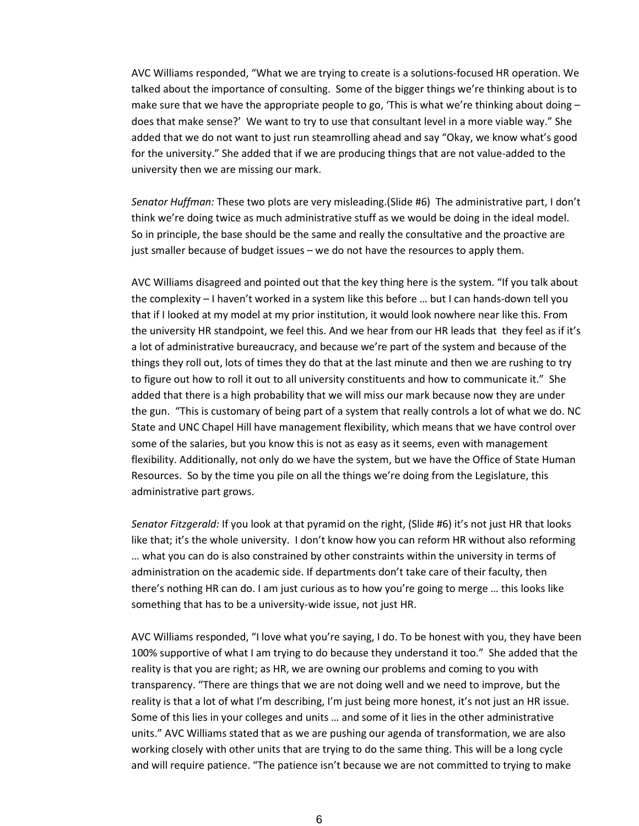AVC Williams responded, "What we are trying to create is a solutions-focused HR operation. We talked about the importance of consulting. Some of the bigger things we're thinking about is to make sure that we have the appropriate people to go, 'This is what we're thinking about doing  $$ does that make sense?' We want to try to use that consultant level in a more viable way." She added that we do not want to just run steamrolling ahead and say "Okay, we know what's good for the university." She added that if we are producing things that are not value-added to the university then we are missing our mark.

*Senator Huffman:* These two plots are very misleading.(Slide #6) The administrative part, I don't think we're doing twice as much administrative stuff as we would be doing in the ideal model. So in principle, the base should be the same and really the consultative and the proactive are just smaller because of budget issues – we do not have the resources to apply them.

AVC Williams disagreed and pointed out that the key thing here is the system. "If you talk about the complexity – I haven't worked in a system like this before … but I can hands-down tell you that if I looked at my model at my prior institution, it would look nowhere near like this. From the university HR standpoint, we feel this. And we hear from our HR leads that they feel as if it's a lot of administrative bureaucracy, and because we're part of the system and because of the things they roll out, lots of times they do that at the last minute and then we are rushing to try to figure out how to roll it out to all university constituents and how to communicate it." She added that there is a high probability that we will miss our mark because now they are under the gun. "This is customary of being part of a system that really controls a lot of what we do. NC State and UNC Chapel Hill have management flexibility, which means that we have control over some of the salaries, but you know this is not as easy as it seems, even with management flexibility. Additionally, not only do we have the system, but we have the Office of State Human Resources. So by the time you pile on all the things we're doing from the Legislature, this administrative part grows.

*Senator Fitzgerald:* If you look at that pyramid on the right, (Slide #6) it's not just HR that looks like that; it's the whole university. I don't know how you can reform HR without also reforming … what you can do is also constrained by other constraints within the university in terms of administration on the academic side. If departments don't take care of their faculty, then there's nothing HR can do. I am just curious as to how you're going to merge … this looks like something that has to be a university-wide issue, not just HR.

AVC Williams responded, "I love what you're saying, I do. To be honest with you, they have been 100% supportive of what I am trying to do because they understand it too." She added that the reality is that you are right; as HR, we are owning our problems and coming to you with transparency. "There are things that we are not doing well and we need to improve, but the reality is that a lot of what I'm describing, I'm just being more honest, it's not just an HR issue. Some of this lies in your colleges and units … and some of it lies in the other administrative units." AVC Williams stated that as we are pushing our agenda of transformation, we are also working closely with other units that are trying to do the same thing. This will be a long cycle and will require patience. "The patience isn't because we are not committed to trying to make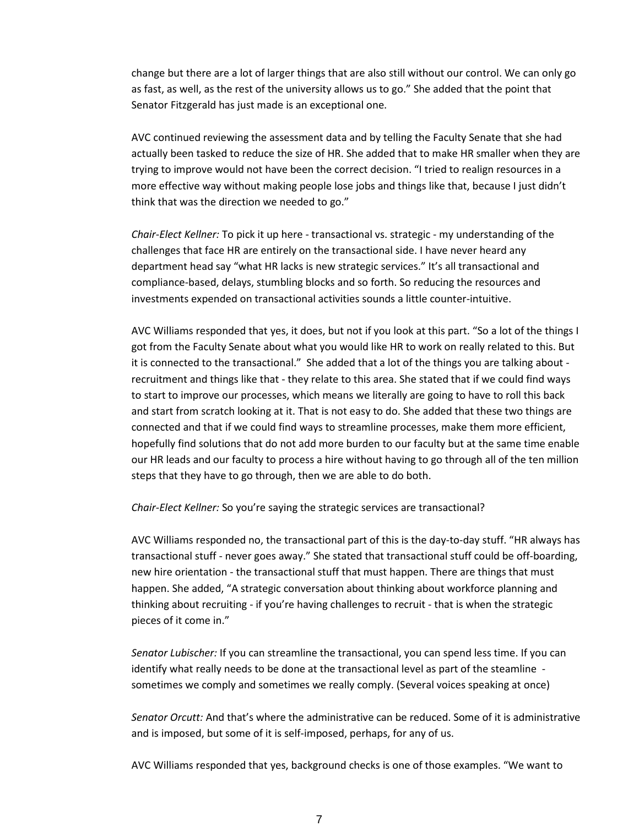change but there are a lot of larger things that are also still without our control. We can only go as fast, as well, as the rest of the university allows us to go." She added that the point that Senator Fitzgerald has just made is an exceptional one.

AVC continued reviewing the assessment data and by telling the Faculty Senate that she had actually been tasked to reduce the size of HR. She added that to make HR smaller when they are trying to improve would not have been the correct decision. "I tried to realign resources in a more effective way without making people lose jobs and things like that, because I just didn't think that was the direction we needed to go."

*Chair-Elect Kellner:* To pick it up here - transactional vs. strategic - my understanding of the challenges that face HR are entirely on the transactional side. I have never heard any department head say "what HR lacks is new strategic services." It's all transactional and compliance-based, delays, stumbling blocks and so forth. So reducing the resources and investments expended on transactional activities sounds a little counter-intuitive.

AVC Williams responded that yes, it does, but not if you look at this part. "So a lot of the things I got from the Faculty Senate about what you would like HR to work on really related to this. But it is connected to the transactional." She added that a lot of the things you are talking about recruitment and things like that - they relate to this area. She stated that if we could find ways to start to improve our processes, which means we literally are going to have to roll this back and start from scratch looking at it. That is not easy to do. She added that these two things are connected and that if we could find ways to streamline processes, make them more efficient, hopefully find solutions that do not add more burden to our faculty but at the same time enable our HR leads and our faculty to process a hire without having to go through all of the ten million steps that they have to go through, then we are able to do both.

*Chair-Elect Kellner:* So you're saying the strategic services are transactional?

AVC Williams responded no, the transactional part of this is the day-to-day stuff. "HR always has transactional stuff - never goes away." She stated that transactional stuff could be off-boarding, new hire orientation - the transactional stuff that must happen. There are things that must happen. She added, "A strategic conversation about thinking about workforce planning and thinking about recruiting - if you're having challenges to recruit - that is when the strategic pieces of it come in."

*Senator Lubischer:* If you can streamline the transactional, you can spend less time. If you can identify what really needs to be done at the transactional level as part of the steamline sometimes we comply and sometimes we really comply. (Several voices speaking at once)

*Senator Orcutt:* And that's where the administrative can be reduced. Some of it is administrative and is imposed, but some of it is self-imposed, perhaps, for any of us.

AVC Williams responded that yes, background checks is one of those examples. "We want to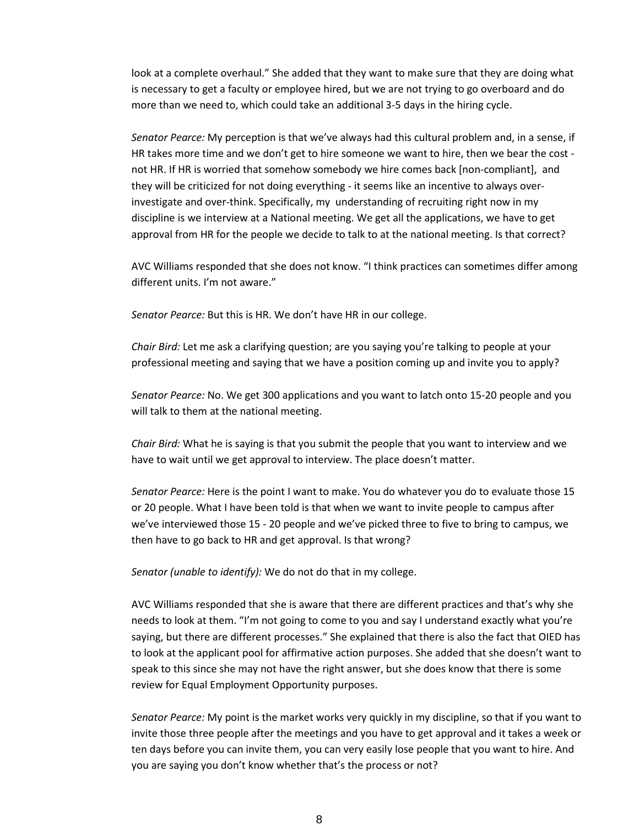look at a complete overhaul." She added that they want to make sure that they are doing what is necessary to get a faculty or employee hired, but we are not trying to go overboard and do more than we need to, which could take an additional 3-5 days in the hiring cycle.

*Senator Pearce:* My perception is that we've always had this cultural problem and, in a sense, if HR takes more time and we don't get to hire someone we want to hire, then we bear the cost not HR. If HR is worried that somehow somebody we hire comes back [non-compliant], and they will be criticized for not doing everything - it seems like an incentive to always overinvestigate and over-think. Specifically, my understanding of recruiting right now in my discipline is we interview at a National meeting. We get all the applications, we have to get approval from HR for the people we decide to talk to at the national meeting. Is that correct?

AVC Williams responded that she does not know. "I think practices can sometimes differ among different units. I'm not aware."

*Senator Pearce:* But this is HR. We don't have HR in our college.

*Chair Bird:* Let me ask a clarifying question; are you saying you're talking to people at your professional meeting and saying that we have a position coming up and invite you to apply?

*Senator Pearce:* No. We get 300 applications and you want to latch onto 15-20 people and you will talk to them at the national meeting.

*Chair Bird:* What he is saying is that you submit the people that you want to interview and we have to wait until we get approval to interview. The place doesn't matter.

*Senator Pearce:* Here is the point I want to make. You do whatever you do to evaluate those 15 or 20 people. What I have been told is that when we want to invite people to campus after we've interviewed those 15 - 20 people and we've picked three to five to bring to campus, we then have to go back to HR and get approval. Is that wrong?

*Senator (unable to identify):* We do not do that in my college.

AVC Williams responded that she is aware that there are different practices and that's why she needs to look at them. "I'm not going to come to you and say I understand exactly what you're saying, but there are different processes." She explained that there is also the fact that OIED has to look at the applicant pool for affirmative action purposes. She added that she doesn't want to speak to this since she may not have the right answer, but she does know that there is some review for Equal Employment Opportunity purposes.

*Senator Pearce:* My point is the market works very quickly in my discipline, so that if you want to invite those three people after the meetings and you have to get approval and it takes a week or ten days before you can invite them, you can very easily lose people that you want to hire. And you are saying you don't know whether that's the process or not?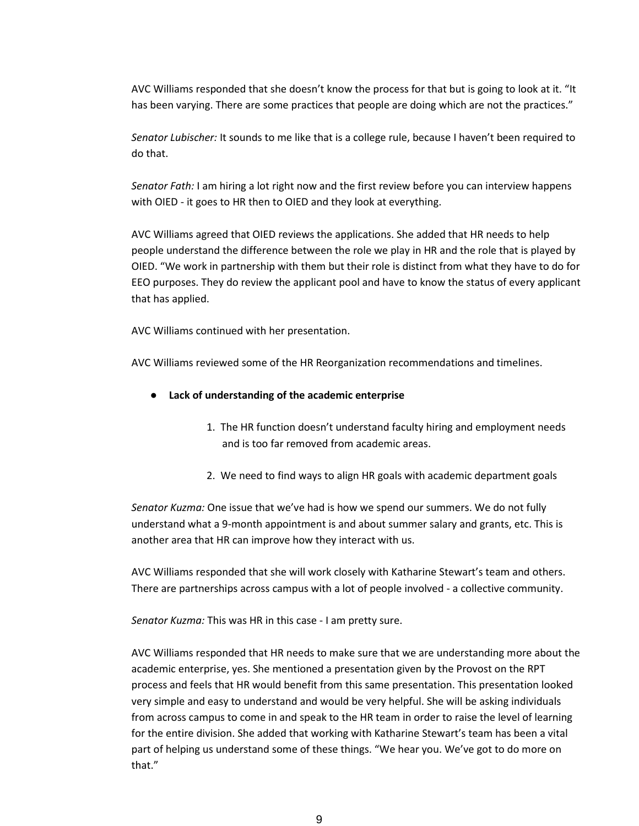AVC Williams responded that she doesn't know the process for that but is going to look at it. "It has been varying. There are some practices that people are doing which are not the practices."

*Senator Lubischer:* It sounds to me like that is a college rule, because I haven't been required to do that.

*Senator Fath:* I am hiring a lot right now and the first review before you can interview happens with OIED - it goes to HR then to OIED and they look at everything.

AVC Williams agreed that OIED reviews the applications. She added that HR needs to help people understand the difference between the role we play in HR and the role that is played by OIED. "We work in partnership with them but their role is distinct from what they have to do for EEO purposes. They do review the applicant pool and have to know the status of every applicant that has applied.

AVC Williams continued with her presentation.

AVC Williams reviewed some of the HR Reorganization recommendations and timelines.

- **Lack of understanding of the academic enterprise**
	- 1. The HR function doesn't understand faculty hiring and employment needs and is too far removed from academic areas.
	- 2. We need to find ways to align HR goals with academic department goals

*Senator Kuzma:* One issue that we've had is how we spend our summers. We do not fully understand what a 9-month appointment is and about summer salary and grants, etc. This is another area that HR can improve how they interact with us.

AVC Williams responded that she will work closely with Katharine Stewart's team and others. There are partnerships across campus with a lot of people involved - a collective community.

*Senator Kuzma:* This was HR in this case - I am pretty sure.

AVC Williams responded that HR needs to make sure that we are understanding more about the academic enterprise, yes. She mentioned a presentation given by the Provost on the RPT process and feels that HR would benefit from this same presentation. This presentation looked very simple and easy to understand and would be very helpful. She will be asking individuals from across campus to come in and speak to the HR team in order to raise the level of learning for the entire division. She added that working with Katharine Stewart's team has been a vital part of helping us understand some of these things. "We hear you. We've got to do more on that."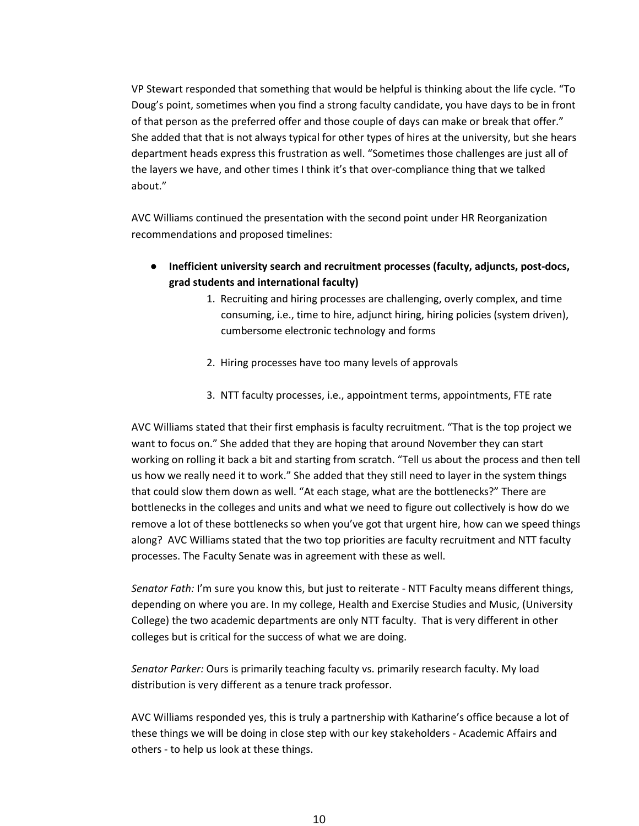VP Stewart responded that something that would be helpful is thinking about the life cycle. "To Doug's point, sometimes when you find a strong faculty candidate, you have days to be in front of that person as the preferred offer and those couple of days can make or break that offer." She added that that is not always typical for other types of hires at the university, but she hears department heads express this frustration as well. "Sometimes those challenges are just all of the layers we have, and other times I think it's that over-compliance thing that we talked about."

AVC Williams continued the presentation with the second point under HR Reorganization recommendations and proposed timelines:

- **Inefficient university search and recruitment processes (faculty, adjuncts, post-docs, grad students and international faculty)**
	- 1. Recruiting and hiring processes are challenging, overly complex, and time consuming, i.e., time to hire, adjunct hiring, hiring policies (system driven), cumbersome electronic technology and forms
	- 2. Hiring processes have too many levels of approvals
	- 3. NTT faculty processes, i.e., appointment terms, appointments, FTE rate

AVC Williams stated that their first emphasis is faculty recruitment. "That is the top project we want to focus on." She added that they are hoping that around November they can start working on rolling it back a bit and starting from scratch. "Tell us about the process and then tell us how we really need it to work." She added that they still need to layer in the system things that could slow them down as well. "At each stage, what are the bottlenecks?" There are bottlenecks in the colleges and units and what we need to figure out collectively is how do we remove a lot of these bottlenecks so when you've got that urgent hire, how can we speed things along? AVC Williams stated that the two top priorities are faculty recruitment and NTT faculty processes. The Faculty Senate was in agreement with these as well.

*Senator Fath:* I'm sure you know this, but just to reiterate - NTT Faculty means different things, depending on where you are. In my college, Health and Exercise Studies and Music, (University College) the two academic departments are only NTT faculty. That is very different in other colleges but is critical for the success of what we are doing.

*Senator Parker:* Ours is primarily teaching faculty vs. primarily research faculty. My load distribution is very different as a tenure track professor.

AVC Williams responded yes, this is truly a partnership with Katharine's office because a lot of these things we will be doing in close step with our key stakeholders - Academic Affairs and others - to help us look at these things.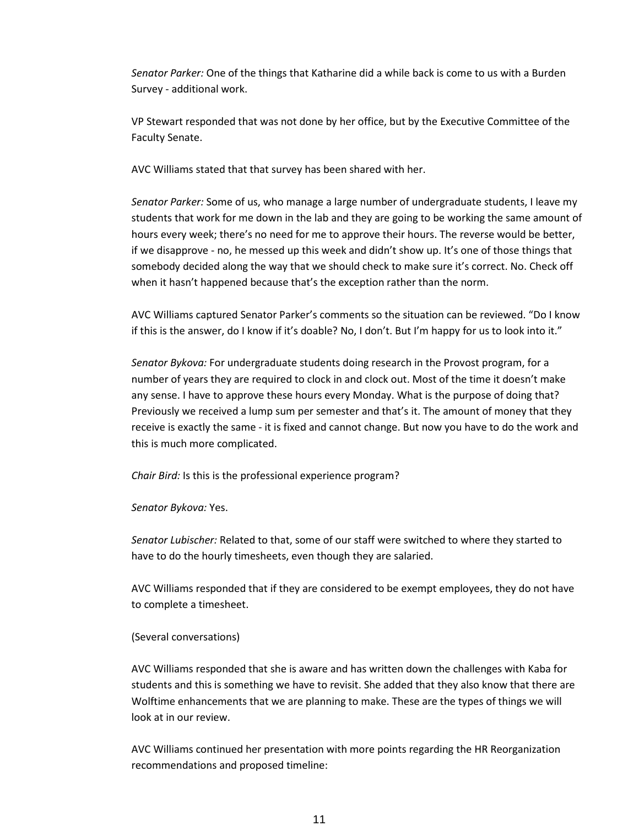*Senator Parker:* One of the things that Katharine did a while back is come to us with a Burden Survey - additional work.

VP Stewart responded that was not done by her office, but by the Executive Committee of the Faculty Senate.

AVC Williams stated that that survey has been shared with her.

*Senator Parker:* Some of us, who manage a large number of undergraduate students, I leave my students that work for me down in the lab and they are going to be working the same amount of hours every week; there's no need for me to approve their hours. The reverse would be better, if we disapprove - no, he messed up this week and didn't show up. It's one of those things that somebody decided along the way that we should check to make sure it's correct. No. Check off when it hasn't happened because that's the exception rather than the norm.

AVC Williams captured Senator Parker's comments so the situation can be reviewed. "Do I know if this is the answer, do I know if it's doable? No, I don't. But I'm happy for us to look into it."

*Senator Bykova:* For undergraduate students doing research in the Provost program, for a number of years they are required to clock in and clock out. Most of the time it doesn't make any sense. I have to approve these hours every Monday. What is the purpose of doing that? Previously we received a lump sum per semester and that's it. The amount of money that they receive is exactly the same - it is fixed and cannot change. But now you have to do the work and this is much more complicated.

*Chair Bird:* Is this is the professional experience program?

*Senator Bykova:* Yes.

*Senator Lubischer:* Related to that, some of our staff were switched to where they started to have to do the hourly timesheets, even though they are salaried.

AVC Williams responded that if they are considered to be exempt employees, they do not have to complete a timesheet.

### (Several conversations)

AVC Williams responded that she is aware and has written down the challenges with Kaba for students and this is something we have to revisit. She added that they also know that there are Wolftime enhancements that we are planning to make. These are the types of things we will look at in our review.

AVC Williams continued her presentation with more points regarding the HR Reorganization recommendations and proposed timeline: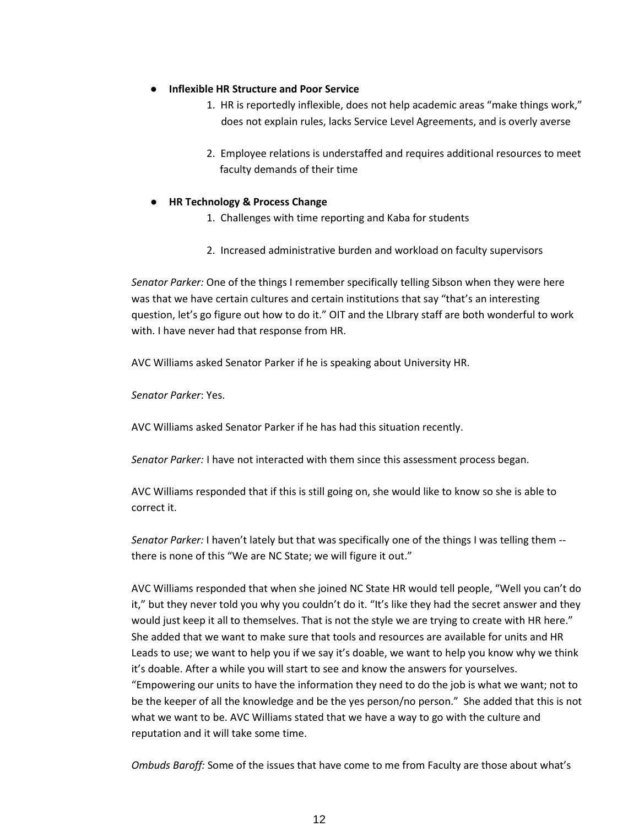### **Inflexible HR Structure and Poor Service**

- 1. HR is reportedly inflexible, does not help academic areas "make things work," does not explain rules, lacks Service Level Agreements, and is overly averse
- 2. Employee relations is understaffed and requires additional resources to meet faculty demands of their time

## ● **HR Technology & Process Change**

- 1. Challenges with time reporting and Kaba for students
- 2. Increased administrative burden and workload on faculty supervisors

*Senator Parker:* One of the things I remember specifically telling Sibson when they were here was that we have certain cultures and certain institutions that say "that's an interesting question, let's go figure out how to do it." OIT and the LIbrary staff are both wonderful to work with. I have never had that response from HR.

AVC Williams asked Senator Parker if he is speaking about University HR.

*Senator Parker*: Yes.

AVC Williams asked Senator Parker if he has had this situation recently.

*Senator Parker:* I have not interacted with them since this assessment process began.

AVC Williams responded that if this is still going on, she would like to know so she is able to correct it.

*Senator Parker:* I haven't lately but that was specifically one of the things I was telling them - there is none of this "We are NC State; we will figure it out."

AVC Williams responded that when she joined NC State HR would tell people, "Well you can't do it," but they never told you why you couldn't do it. "It's like they had the secret answer and they would just keep it all to themselves. That is not the style we are trying to create with HR here." She added that we want to make sure that tools and resources are available for units and HR Leads to use; we want to help you if we say it's doable, we want to help you know why we think it's doable. After a while you will start to see and know the answers for yourselves. "Empowering our units to have the information they need to do the job is what we want; not to be the keeper of all the knowledge and be the yes person/no person." She added that this is not what we want to be. AVC Williams stated that we have a way to go with the culture and reputation and it will take some time.

*Ombuds Baroff:* Some of the issues that have come to me from Faculty are those about what's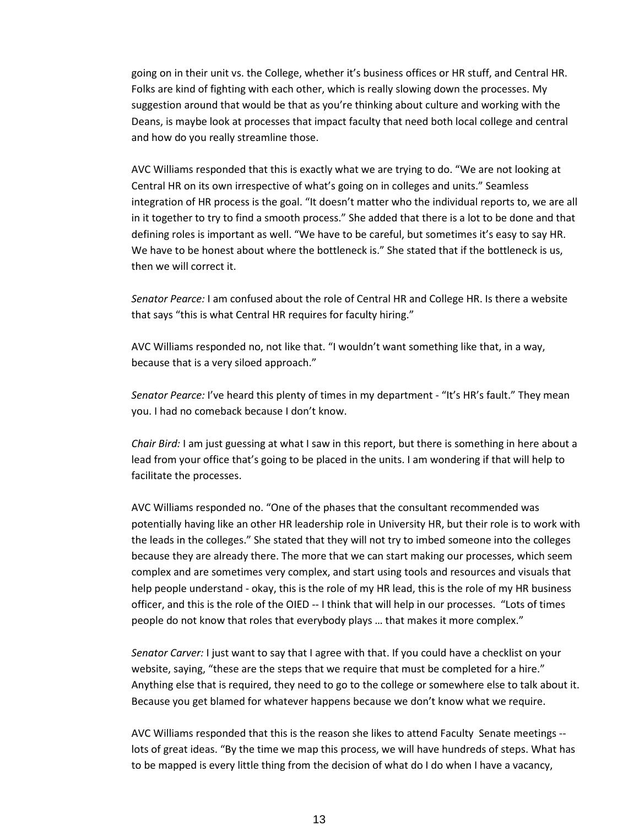going on in their unit vs. the College, whether it's business offices or HR stuff, and Central HR. Folks are kind of fighting with each other, which is really slowing down the processes. My suggestion around that would be that as you're thinking about culture and working with the Deans, is maybe look at processes that impact faculty that need both local college and central and how do you really streamline those.

AVC Williams responded that this is exactly what we are trying to do. "We are not looking at Central HR on its own irrespective of what's going on in colleges and units." Seamless integration of HR process is the goal. "It doesn't matter who the individual reports to, we are all in it together to try to find a smooth process." She added that there is a lot to be done and that defining roles is important as well. "We have to be careful, but sometimes it's easy to say HR. We have to be honest about where the bottleneck is." She stated that if the bottleneck is us, then we will correct it.

*Senator Pearce:* I am confused about the role of Central HR and College HR. Is there a website that says "this is what Central HR requires for faculty hiring."

AVC Williams responded no, not like that. "I wouldn't want something like that, in a way, because that is a very siloed approach."

*Senator Pearce:* I've heard this plenty of times in my department - "It's HR's fault." They mean you. I had no comeback because I don't know.

*Chair Bird:* I am just guessing at what I saw in this report, but there is something in here about a lead from your office that's going to be placed in the units. I am wondering if that will help to facilitate the processes.

AVC Williams responded no. "One of the phases that the consultant recommended was potentially having like an other HR leadership role in University HR, but their role is to work with the leads in the colleges." She stated that they will not try to imbed someone into the colleges because they are already there. The more that we can start making our processes, which seem complex and are sometimes very complex, and start using tools and resources and visuals that help people understand - okay, this is the role of my HR lead, this is the role of my HR business officer, and this is the role of the OIED -- I think that will help in our processes. "Lots of times people do not know that roles that everybody plays … that makes it more complex."

*Senator Carver:* I just want to say that I agree with that. If you could have a checklist on your website, saying, "these are the steps that we require that must be completed for a hire." Anything else that is required, they need to go to the college or somewhere else to talk about it. Because you get blamed for whatever happens because we don't know what we require.

AVC Williams responded that this is the reason she likes to attend Faculty Senate meetings - lots of great ideas. "By the time we map this process, we will have hundreds of steps. What has to be mapped is every little thing from the decision of what do I do when I have a vacancy,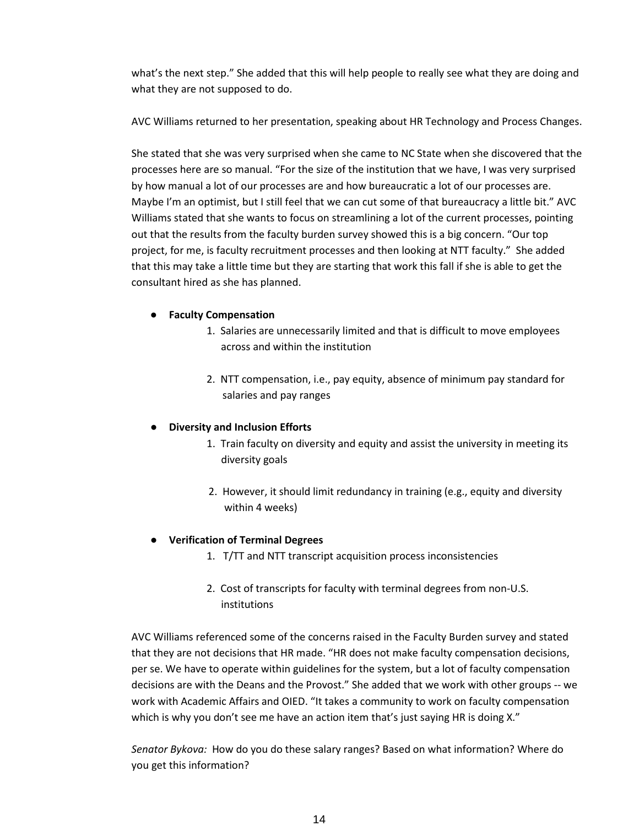what's the next step." She added that this will help people to really see what they are doing and what they are not supposed to do.

AVC Williams returned to her presentation, speaking about HR Technology and Process Changes.

She stated that she was very surprised when she came to NC State when she discovered that the processes here are so manual. "For the size of the institution that we have, I was very surprised by how manual a lot of our processes are and how bureaucratic a lot of our processes are. Maybe I'm an optimist, but I still feel that we can cut some of that bureaucracy a little bit." AVC Williams stated that she wants to focus on streamlining a lot of the current processes, pointing out that the results from the faculty burden survey showed this is a big concern. "Our top project, for me, is faculty recruitment processes and then looking at NTT faculty." She added that this may take a little time but they are starting that work this fall if she is able to get the consultant hired as she has planned.

## ● **Faculty Compensation**

- 1. Salaries are unnecessarily limited and that is difficult to move employees across and within the institution
- 2. NTT compensation, i.e., pay equity, absence of minimum pay standard for salaries and pay ranges

# **Diversity and Inclusion Efforts**

- 1. Train faculty on diversity and equity and assist the university in meeting its diversity goals
- 2. However, it should limit redundancy in training (e.g., equity and diversity within 4 weeks)

# ● **Verification of Terminal Degrees**

- 1. T/TT and NTT transcript acquisition process inconsistencies
- 2. Cost of transcripts for faculty with terminal degrees from non-U.S. institutions

AVC Williams referenced some of the concerns raised in the Faculty Burden survey and stated that they are not decisions that HR made. "HR does not make faculty compensation decisions, per se. We have to operate within guidelines for the system, but a lot of faculty compensation decisions are with the Deans and the Provost." She added that we work with other groups -- we work with Academic Affairs and OIED. "It takes a community to work on faculty compensation which is why you don't see me have an action item that's just saying HR is doing X."

*Senator Bykova:* How do you do these salary ranges? Based on what information? Where do you get this information?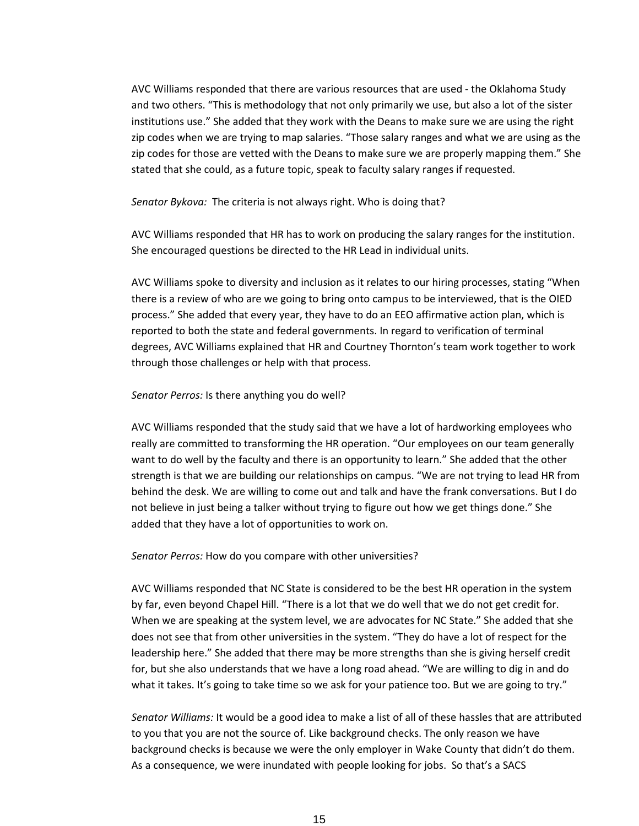AVC Williams responded that there are various resources that are used - the Oklahoma Study and two others. "This is methodology that not only primarily we use, but also a lot of the sister institutions use." She added that they work with the Deans to make sure we are using the right zip codes when we are trying to map salaries. "Those salary ranges and what we are using as the zip codes for those are vetted with the Deans to make sure we are properly mapping them." She stated that she could, as a future topic, speak to faculty salary ranges if requested.

#### *Senator Bykova:* The criteria is not always right. Who is doing that?

AVC Williams responded that HR has to work on producing the salary ranges for the institution. She encouraged questions be directed to the HR Lead in individual units.

AVC Williams spoke to diversity and inclusion as it relates to our hiring processes, stating "When there is a review of who are we going to bring onto campus to be interviewed, that is the OIED process." She added that every year, they have to do an EEO affirmative action plan, which is reported to both the state and federal governments. In regard to verification of terminal degrees, AVC Williams explained that HR and Courtney Thornton's team work together to work through those challenges or help with that process.

#### *Senator Perros:* Is there anything you do well?

AVC Williams responded that the study said that we have a lot of hardworking employees who really are committed to transforming the HR operation. "Our employees on our team generally want to do well by the faculty and there is an opportunity to learn." She added that the other strength is that we are building our relationships on campus. "We are not trying to lead HR from behind the desk. We are willing to come out and talk and have the frank conversations. But I do not believe in just being a talker without trying to figure out how we get things done." She added that they have a lot of opportunities to work on.

#### *Senator Perros:* How do you compare with other universities?

AVC Williams responded that NC State is considered to be the best HR operation in the system by far, even beyond Chapel Hill. "There is a lot that we do well that we do not get credit for. When we are speaking at the system level, we are advocates for NC State." She added that she does not see that from other universities in the system. "They do have a lot of respect for the leadership here." She added that there may be more strengths than she is giving herself credit for, but she also understands that we have a long road ahead. "We are willing to dig in and do what it takes. It's going to take time so we ask for your patience too. But we are going to try."

*Senator Williams:* It would be a good idea to make a list of all of these hassles that are attributed to you that you are not the source of. Like background checks. The only reason we have background checks is because we were the only employer in Wake County that didn't do them. As a consequence, we were inundated with people looking for jobs. So that's a SACS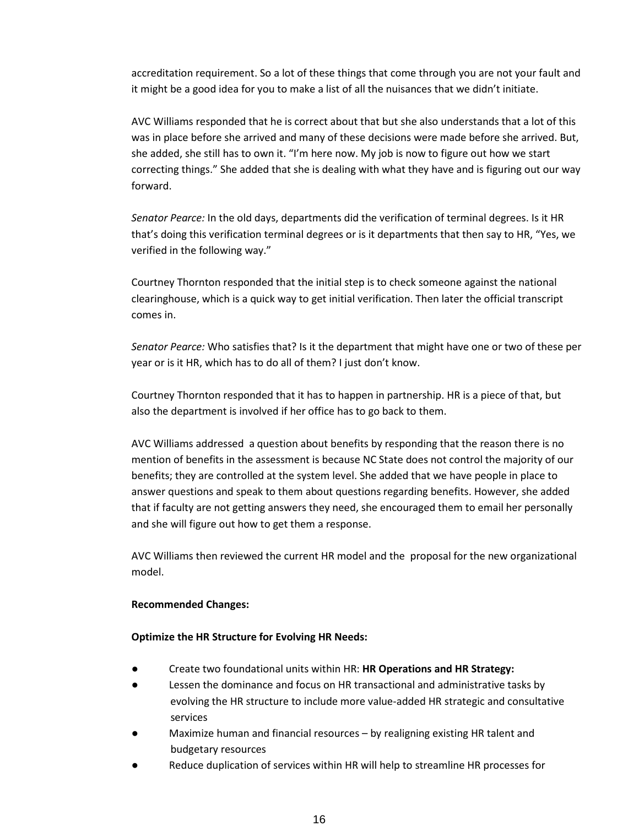accreditation requirement. So a lot of these things that come through you are not your fault and it might be a good idea for you to make a list of all the nuisances that we didn't initiate.

AVC Williams responded that he is correct about that but she also understands that a lot of this was in place before she arrived and many of these decisions were made before she arrived. But, she added, she still has to own it. "I'm here now. My job is now to figure out how we start correcting things." She added that she is dealing with what they have and is figuring out our way forward.

*Senator Pearce:* In the old days, departments did the verification of terminal degrees. Is it HR that's doing this verification terminal degrees or is it departments that then say to HR, "Yes, we verified in the following way."

Courtney Thornton responded that the initial step is to check someone against the national clearinghouse, which is a quick way to get initial verification. Then later the official transcript comes in.

*Senator Pearce:* Who satisfies that? Is it the department that might have one or two of these per year or is it HR, which has to do all of them? I just don't know.

Courtney Thornton responded that it has to happen in partnership. HR is a piece of that, but also the department is involved if her office has to go back to them.

AVC Williams addressed a question about benefits by responding that the reason there is no mention of benefits in the assessment is because NC State does not control the majority of our benefits; they are controlled at the system level. She added that we have people in place to answer questions and speak to them about questions regarding benefits. However, she added that if faculty are not getting answers they need, she encouraged them to email her personally and she will figure out how to get them a response.

AVC Williams then reviewed the current HR model and the proposal for the new organizational model.

### **Recommended Changes:**

### **Optimize the HR Structure for Evolving HR Needs:**

- Create two foundational units within HR: **HR Operations and HR Strategy:**
- Lessen the dominance and focus on HR transactional and administrative tasks by evolving the HR structure to include more value-added HR strategic and consultative services
- Maximize human and financial resources  $-$  by realigning existing HR talent and budgetary resources
- Reduce duplication of services within HR will help to streamline HR processes for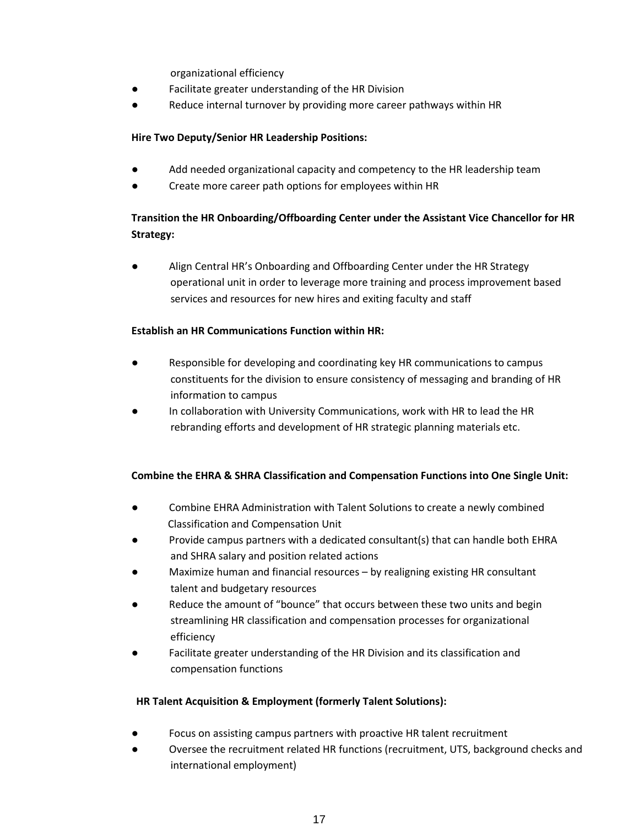organizational efficiency

- Facilitate greater understanding of the HR Division
- Reduce internal turnover by providing more career pathways within HR

## **Hire Two Deputy/Senior HR Leadership Positions:**

- Add needed organizational capacity and competency to the HR leadership team
- Create more career path options for employees within HR

# **Transition the HR Onboarding/Offboarding Center under the Assistant Vice Chancellor for HR Strategy:**

● Align Central HR's Onboarding and Offboarding Center under the HR Strategy operational unit in order to leverage more training and process improvement based services and resources for new hires and exiting faculty and staff

## **Establish an HR Communications Function within HR:**

- Responsible for developing and coordinating key HR communications to campus constituents for the division to ensure consistency of messaging and branding of HR information to campus
- In collaboration with University Communications, work with HR to lead the HR rebranding efforts and development of HR strategic planning materials etc.

# **Combine the EHRA & SHRA Classification and Compensation Functions into One Single Unit:**

- Combine EHRA Administration with Talent Solutions to create a newly combined Classification and Compensation Unit
- Provide campus partners with a dedicated consultant(s) that can handle both EHRA and SHRA salary and position related actions
- Maximize human and financial resources by realigning existing HR consultant talent and budgetary resources
- Reduce the amount of "bounce" that occurs between these two units and begin streamlining HR classification and compensation processes for organizational efficiency
- Facilitate greater understanding of the HR Division and its classification and compensation functions

### **HR Talent Acquisition & Employment (formerly Talent Solutions):**

- Focus on assisting campus partners with proactive HR talent recruitment
- Oversee the recruitment related HR functions (recruitment, UTS, background checks and international employment)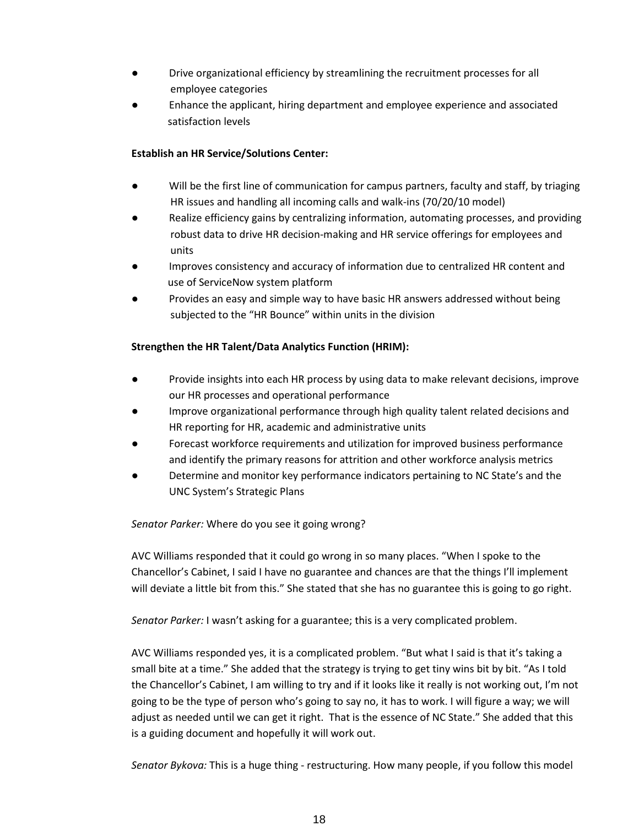- Drive organizational efficiency by streamlining the recruitment processes for all employee categories
- Enhance the applicant, hiring department and employee experience and associated satisfaction levels

# **Establish an HR Service/Solutions Center:**

- Will be the first line of communication for campus partners, faculty and staff, by triaging HR issues and handling all incoming calls and walk-ins (70/20/10 model)
- Realize efficiency gains by centralizing information, automating processes, and providing robust data to drive HR decision-making and HR service offerings for employees and units
- Improves consistency and accuracy of information due to centralized HR content and use of ServiceNow system platform
- Provides an easy and simple way to have basic HR answers addressed without being subjected to the "HR Bounce" within units in the division

# **Strengthen the HR Talent/Data Analytics Function (HRIM):**

- Provide insights into each HR process by using data to make relevant decisions, improve our HR processes and operational performance
- Improve organizational performance through high quality talent related decisions and HR reporting for HR, academic and administrative units
- Forecast workforce requirements and utilization for improved business performance and identify the primary reasons for attrition and other workforce analysis metrics
- Determine and monitor key performance indicators pertaining to NC State's and the UNC System's Strategic Plans

# *Senator Parker:* Where do you see it going wrong?

AVC Williams responded that it could go wrong in so many places. "When I spoke to the Chancellor's Cabinet, I said I have no guarantee and chances are that the things I'll implement will deviate a little bit from this." She stated that she has no guarantee this is going to go right.

*Senator Parker:* I wasn't asking for a guarantee; this is a very complicated problem.

AVC Williams responded yes, it is a complicated problem. "But what I said is that it's taking a small bite at a time." She added that the strategy is trying to get tiny wins bit by bit. "As I told the Chancellor's Cabinet, I am willing to try and if it looks like it really is not working out, I'm not going to be the type of person who's going to say no, it has to work. I will figure a way; we will adjust as needed until we can get it right. That is the essence of NC State." She added that this is a guiding document and hopefully it will work out.

*Senator Bykova:* This is a huge thing - restructuring. How many people, if you follow this model